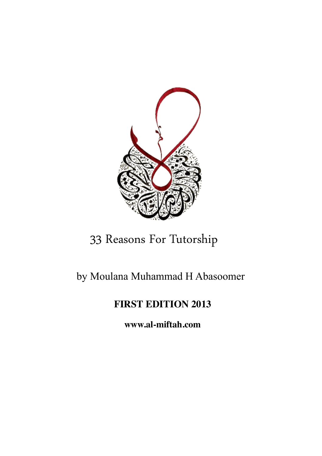

# 33 Reasons For Tutorship

# by Moulana Muhammad H Abasoomer

# **FIRST EDITION 2013**

**[www.al-miftah.com](http://www.al-miftah.com)**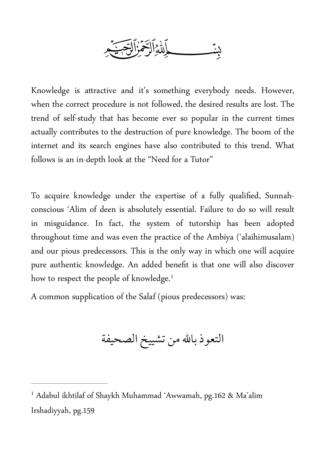

Knowledge is a tractive and it's something everybody needs. However, when the correct procedure is not followed, the desired results are lost. The trend of self-study that has become ever so popular in the current times actually contributes to the destruction of pure knowledge. The boom of the internet and its search engines have also contributed to this trend. What follows is an in-depth look at the "Need for a Tutor"

To acquire knowledge under the expertise of a fully qualified, Sunnahconscious 'Alim of deen is absolutely essential. Failure to do so will result in misguidance. In fact, the system of tutorship has been adopted throughout time and was even the practice of the Ambiya ('alaihimusalam) and our pious predecessors. This is the only way in which one will acquire pure authentic knowledge. An added benefit is that one will also discover how to respect the people of knowledge.<sup>1</sup>

A common supplication of the Salaf (pious predecessors) was:

التعوذ بالله من تشييخ الصحيفة

<sup>&</sup>lt;sup>1</sup> Adabul ikhtilaf of Shaykh Muhammad 'Awwamah, pg.162 & Ma'alim Irshadiyyah, pg.159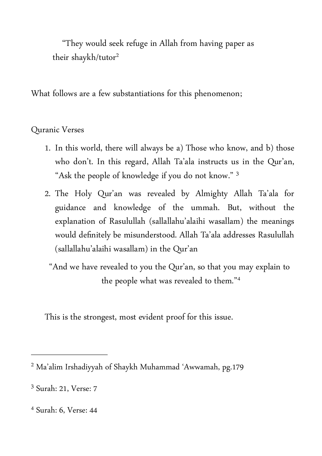"They would seek refuge in Allah from having paper as their shaykh/tutor<sup>2</sup>

What follows are a few substantiations for this phenomenon;

Quranic Verses

- 1. In this world, there will always be a) Those who know, and b) those who don't. In this regard, Allah Ta'ala instructs us in the Qur'an, "Ask the people of knowledge if you do not know." 3
- 2. The Holy Qur'an was revealed by Almighty Allah Ta'ala for guidance and knowledge of the ummah. But, without the explanation of Rasulullah (sallallahu'alaihi wasallam) the meanings would definitely be misunderstood. Allah Ta'ala addresses Rasulullah (sallallahu'alaihi wasallam) in the Qur'an

"And we have revealed to you the Qur'an, so that you may explain to the people what was revealed to them."4

This is the strongest, most evident proof for this issue.

Ma'alim Irshadiyyah of Shaykh Muhammad 'Awwamah, pg.179 <sup>2</sup>

<sup>&</sup>lt;sup>3</sup> Surah: 21, Verse: 7

<sup>&</sup>lt;sup>4</sup> Surah: 6, Verse: 44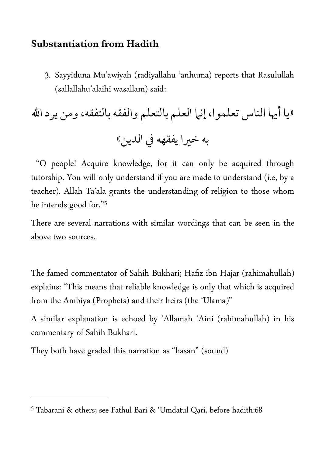#### **Substantiation from Hadith**

3. Sayyiduna Mu'awiyah (radiyallahu 'anhuma) reports that Rasulullah (sallallahu'alaihi wasallam) said:

«يا أيها الناس تعلموا, إنما العلم بالتعلم والفقه بالتفقه, ومن يرداالله به خيرا يفقهه في الدين»

 "O people! Acquire knowledge, for it can only be acquired through tutorship. You will only understand if you are made to understand (i.e, by a teacher). Allah Ta'ala grants the understanding of religion to those whom he intends good for."5

There are several narrations with similar wordings that can be seen in the above two sources.

The famed commentator of Sahih Bukhari; Hafiz ibn Hajar (rahimahullah) explains: "This means that reliable knowledge is only that which is acquired from the Ambiya (Prophets) and their heirs (the 'Ulama)"

A similar explanation is echoed by 'Allamah 'Aini (rahimahullah) in his commentary of Sahih Bukhari.

They both have graded this narration as "hasan" (sound)

Tabarani & others; see Fathul Bari & 'Umdatul Qari, before hadith:68 <sup>5</sup>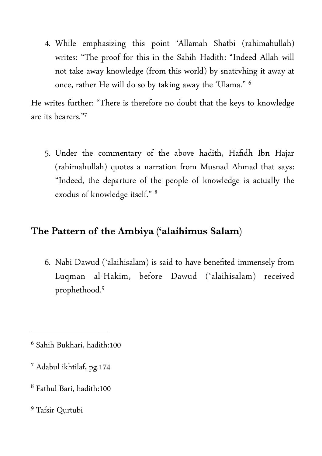4. While emphasizing this point 'Allamah Shatbi (rahimahullah) writes: "The proof for this in the Sahih Hadith: "Indeed Allah will not take away knowledge (from this world) by snatcvhing it away at once, rather He will do so by taking away the 'Ulama." 6

He writes further: "There is therefore no doubt that the keys to knowledge are its bearers."7

5. Under the commentary of the above hadith, Hafidh Ibn Hajar (rahimahullah) quotes a narration from Musnad Ahmad that says: "Indeed, the departure of the people of knowledge is actually the exodus of knowledge itself." 8

# **The Pattern of the Ambiya ('alaihimus Salam)**

6. Nabi Dawud ('alaihisalam) is said to have benefited immensely from Luqman al-Hakim, before Dawud ('alaihisalam) received prophethood.9

- <sup>7</sup> Adabul ikhtilaf, pg.174
- <sup>8</sup> Fathul Bari, hadith:100

<sup>&</sup>lt;sup>6</sup> Sahih Bukhari, hadith:100

<sup>&</sup>lt;sup>9</sup> Tafsir Qurtubi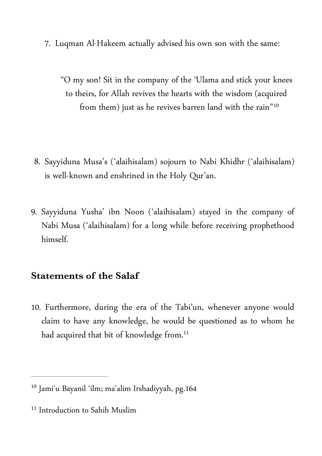7. Luqman Al-Hakeem actually advised his own son with the same:

"O my son! Sit in the company of the 'Ulama and stick your knees to theirs, for Allah revives the hearts with the wisdom (acquired from them) just as he revives barren land with the rain"10

- 8. Sayyiduna Musa's ('alaihisalam) sojourn to Nabi Khidhr ('alaihisalam) is well-known and enshrined in the Holy Qur'an.
- 9. Sayyiduna Yusha' ibn Noon ('alaihisalam) stayed in the company of Nabi Musa ('alaihisalam) for a long while before receiving prophethood himself.

#### **Statements of the Salaf**

10. Furthermore, during the era of the Tabi'un, whenever anyone would claim to have any knowledge, he would be questioned as to whom he had acquired that bit of knowledge from.<sup>11</sup>

<sup>&</sup>lt;sup>10</sup> Jami'u Bayanil 'ilm; ma'alim Irshadiyyah, pg.164

<sup>&</sup>lt;sup>11</sup> Introduction to Sahih Muslim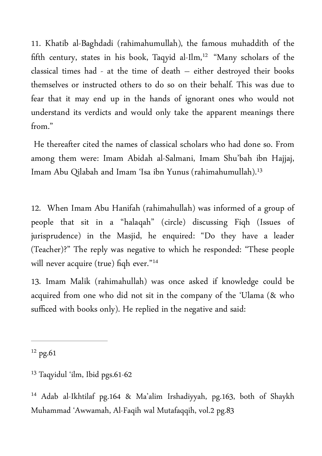11. Khatib al-Baghdadi (rahimahumullah), the famous muhaddith of the fifth century, states in his book, Taqyid al-Ilm,<sup>12</sup> "Many scholars of the classical times had - at the time of death – either destroyed their books themselves or instructed others to do so on their behalf. This was due to fear that it may end up in the hands of ignorant ones who would not understand its verdicts and would only take the apparent meanings there from."

 He thereafter cited the names of classical scholars who had done so. From among them were: Imam Abidah al-Salmani, Imam Shu'bah ibn Hajjaj, Imam Abu Qilabah and Imam 'Isa ibn Yunus (rahimahumullah).13

12. When Imam Abu Hanifah (rahimahullah) was informed of a group of people that sit in a "halaqah" (circle) discussing Fiqh (Issues of jurisprudence) in the Masjid, he enquired: "Do they have a leader (Teacher)?" The reply was negative to which he responded: "These people will never acquire (true) fiqh ever."<sup>14</sup>

13. Imam Malik (rahimahullah) was once asked if knowledge could be acquired from one who did not sit in the company of the 'Ulama (& who sufficed with books only). He replied in the negative and said:

 $12$  pg.61

<sup>&</sup>lt;sup>13</sup> Taqyidul 'ilm, Ibid pgs.61-62

<sup>&</sup>lt;sup>14</sup> Adab al-Ikhtilaf pg.164 & Ma'alim Irshadiyyah, pg.163, both of Shaykh Muhammad 'Awwamah, Al-Faqih wal Mutafaqqih, vol.2 pg.83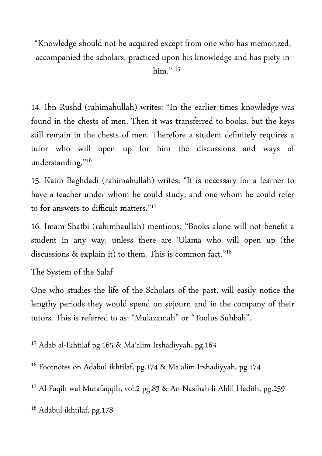"Knowledge should not be acquired except from one who has memorized, accompanied the scholars, practiced upon his knowledge and has piety in him." 15

14. Ibn Rushd (rahimahullah) writes: "In the earlier times knowledge was found in the chests of men. Then it was transferred to books, but the keys still remain in the chests of men. Therefore a student definitely requires a tutor who will open up for him the discussions and ways of understanding."16

15. Katib Baghdadi (rahimahullah) writes: "It is necessary for a learner to have a teacher under whom he could study, and one whom he could refer to for answers to difficult matters."<sup>17</sup>

16. Imam Shatbi (rahimhaullah) mentions: "Books alone will not benefit a student in any way, unless there are 'Ulama who will open up (the discussions & explain it) to them. This is common fact."18

The System of the Salaf

One who studies the life of the Scholars of the past, will easily notice the lengthy periods they would spend on sojourn and in the company of their tutors. This is referred to as: "Mulazamah" or "Toolus Suhbah".

<sup>&</sup>lt;sup>15</sup> Adab al-Ikhtilaf pg.165 & Ma'alim Irshadiyyah, pg.163

<sup>&</sup>lt;sup>16</sup> Footnotes on Adabul ikhtilaf, pg.174 & Ma'alim Irshadiyyah, pg.174

<sup>&</sup>lt;sup>17</sup> Al-Faqih wal Mutafaqqih, vol.2 pg.83 & An-Nasihah li Ahlil Hadith, pg.259

 $18$  Adabul ikhtilaf, pg.178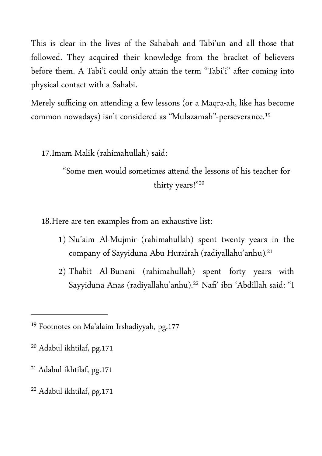This is clear in the lives of the Sahabah and Tabi'un and all those that followed. They acquired their knowledge from the bracket of believers before them. A Tabi'i could only atain the term "Tabi'i" after coming into physical contact with a Sahabi.

Merely sufficing on atending a few lessons (or a Maqra-ah, like has become common nowadays) isn't considered as "Mulazamah"-perseverance.19

17.Imam Malik (rahimahullah) said:

"Some men would sometimes atend the lessons of his teacher for thirty years!"20

18.Here are ten examples from an exhaustive list:

- 1) Nu'aim Al-Mujmir (rahimahullah) spent twenty years in the company of Sayyiduna Abu Hurairah (radiyallahu'anhu).<sup>21</sup>
- 2) Thabit Al-Bunani (rahimahullah) spent forty years with Sayyiduna Anas (radiyallahu'anhu).<sup>22</sup> Nafi' ibn 'Abdillah said: "I

<sup>&</sup>lt;sup>19</sup> Footnotes on Ma'alaim Irshadiyyah, pg.177

<sup>&</sup>lt;sup>20</sup> Adabul ikhtilaf, pg.171

<sup>&</sup>lt;sup>21</sup> Adabul ikhtilaf, pg.171

<sup>&</sup>lt;sup>22</sup> Adabul ikhtilaf, pg.171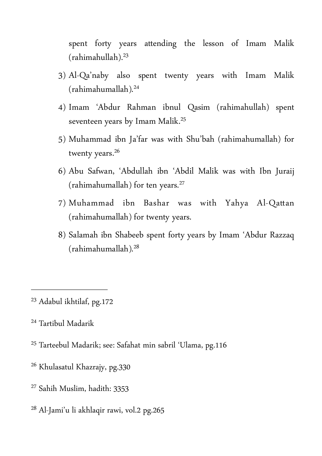spent forty years atending the lesson of Imam Malik (rahimahullah).23

- 3) Al-Qa'naby also spent twenty years with Imam Malik (rahimahumallah). 24
- 4) Imam 'Abdur Rahman ibnul Qasim (rahimahullah) spent seventeen years by Imam Malik. 25
- 5) Muhammad ibn Ja'far was with Shu'bah (rahimahumallah) for twenty years.<sup>26</sup>
- 6) Abu Safwan, 'Abdullah ibn 'Abdil Malik was with Ibn Juraij (rahimahumallah) for ten years.27
- 7) Muhammad ibn Bashar was with Yahya Al-Qatan (rahimahumallah) for twenty years.
- 8) Salamah ibn Shabeeb spent forty years by Imam 'Abdur Razzaq (rahimahumallah). 28

- <sup>25</sup> Tarteebul Madarik; see: Safahat min sabril 'Ulama, pg.116
- <sup>26</sup> Khulasatul Khazrajy, pg.330
- <sup>27</sup> Sahih Muslim, hadith: 3353
- <sup>28</sup> Al-Jami'u li akhlaqir rawi, vol.2 pg.265

<sup>&</sup>lt;sup>23</sup> Adabul ikhtilaf, pg.172

<sup>&</sup>lt;sup>24</sup> Tartibul Madarik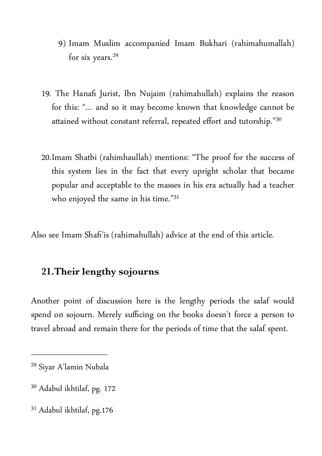- 9) Imam Muslim accompanied Imam Bukhari (rahimahumallah) for six years.<sup>29</sup>
- 19. The Hanafi Jurist, Ibn Nujaim (rahimahullah) explains the reason for this: "… and so it may become known that knowledge cannot be attained without constant referral, repeated effort and tutorship."30
- 20.Imam Shatbi (rahimhaullah) mentions: "The proof for the success of this system lies in the fact that every upright scholar that became popular and acceptable to the masses in his era actually had a teacher who enjoyed the same in his time."31

Also see Imam Shafi'is (rahimahullah) advice at the end of this article.

#### **21.Their lengthy sojourns**

Another point of discussion here is the lengthy periods the salaf would spend on sojourn. Merely sufficing on the books doesn't force a person to travel abroad and remain there for the periods of time that the salaf spent.

- <sup>30</sup> Adabul ikhtilaf, pg. 172
- <sup>31</sup> Adabul ikhtilaf, pg.176

<sup>&</sup>lt;sup>29</sup> Siyar A'lamin Nubala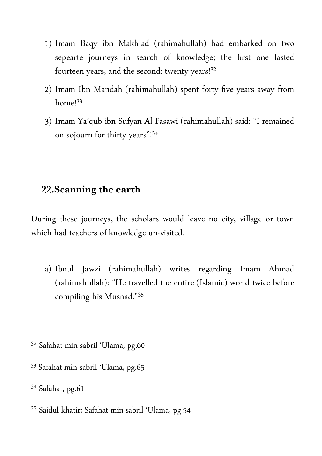- 1) Imam Baqy ibn Makhlad (rahimahullah) had embarked on two sepearte journeys in search of knowledge; the first one lasted fourteen years, and the second: twenty years!<sup>32</sup>
- 2) Imam Ibn Mandah (rahimahullah) spent forty five years away from home<sup>[33]</sup>
- 3) Imam Ya'qub ibn Sufyan Al-Fasawi (rahimahullah) said: "I remained on sojourn for thirty years"!<sup>34</sup>

## **22.Scanning the earth**

During these journeys, the scholars would leave no city, village or town which had teachers of knowledge un-visited.

a) Ibnul Jawzi (rahimahullah) writes regarding Imam Ahmad (rahimahullah): "He travelled the entire (Islamic) world twice before compiling his Musnad."35

33 Safahat min sabril 'Ulama, pg.65

34 Safahat, pg.61

<sup>35</sup> Saidul khatir; Safahat min sabril 'Ulama, pg.54

<sup>&</sup>lt;sup>32</sup> Safahat min sabril 'Ulama, pg.60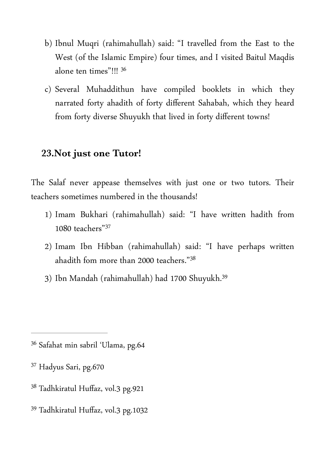- b) Ibnul Muqri (rahimahullah) said: "I travelled from the East to the West (of the Islamic Empire) four times, and I visited Baitul Maqdis alone ten times"!!! 36
- c) Several Muhaddithun have compiled booklets in which they narrated forty ahadith of forty different Sahabah, which they heard from forty diverse Shuyukh that lived in forty different towns!

#### **23.Not just one Tutor!**

The Salaf never appease themselves with just one or two tutors. Their teachers sometimes numbered in the thousands!

- 1) Imam Bukhari (rahimahullah) said: "I have writen hadith from 1080 teachers"37
- 2) Imam Ibn Hibban (rahimahullah) said: "I have perhaps writen ahadith fom more than 2000 teachers."38
- 3) Ibn Mandah (rahimahullah) had 1700 Shuyukh. 39

- <sup>37</sup> Hadyus Sari, pg.670
- <sup>38</sup> Tadhkiratul Huffaz, vol.3 pg.921
- <sup>39</sup> Tadhkiratul Huffaz, vol.3 pg.1032

<sup>&</sup>lt;sup>36</sup> Safahat min sabril 'Ulama, pg.64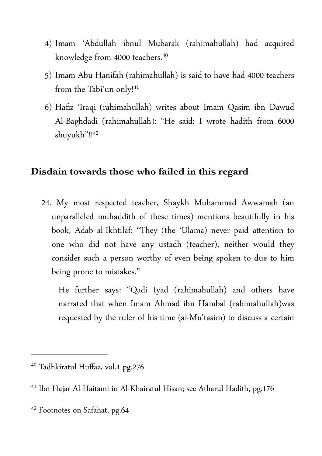- 4) Imam 'Abdullah ibnul Mubarak (rahimahullah) had acquired knowledge from 4000 teachers. 40
- 5) Imam Abu Hanifah (rahimahullah) is said to have had 4000 teachers from the Tabi'un only!41
- 6) Hafiz 'Iraqi (rahimahullah) writes about Imam Qasim ibn Dawud Al-Baghdadi (rahimahullah): "He said: I wrote hadith from 6000 shuyukh"!!42

## **Disdain towards those who failed in this regard**

24. My most respected teacher, Shaykh Muhammad Awwamah (an unparalleled muhaddith of these times) mentions beautifully in his book, Adab al-Ikhtilaf: "They (the 'Ulama) never paid atention to one who did not have any ustadh (teacher), neither would they consider such a person worthy of even being spoken to due to him being prone to mistakes."

He further says: "Qadi Iyad (rahimahullah) and others have narrated that when Imam Ahmad ibn Hambal (rahimahullah)was requested by the ruler of his time (al-Mu'tasim) to discuss a certain

<sup>&</sup>lt;sup>40</sup> Tadhkiratul Huffaz, vol.1 pg.276

<sup>&</sup>lt;sup>41</sup> Ibn Hajar Al-Haitami in Al-Khairatul Hisan; see Atharul Hadith, pg.176

<sup>&</sup>lt;sup>42</sup> Footnotes on Safahat, pg.64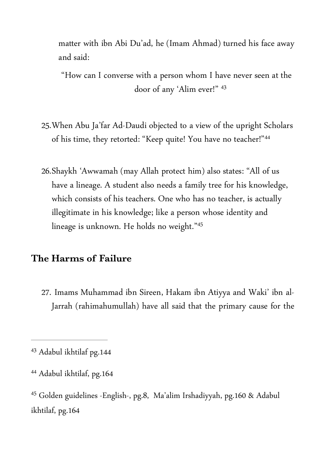mater with ibn Abi Du'ad, he (Imam Ahmad) turned his face away and said:

"How can I converse with a person whom I have never seen at the door of any 'Alim ever!" 43

- 25.When Abu Ja'far Ad-Daudi objected to a view of the upright Scholars of his time, they retorted: "Keep quite! You have no teacher!"44
- 26.Shaykh 'Awwamah (may Allah protect him) also states: "All of us have a lineage. A student also needs a family tree for his knowledge, which consists of his teachers. One who has no teacher, is actually illegitimate in his knowledge; like a person whose identity and lineage is unknown. He holds no weight." 45

## **The Harms of Failure**

27. Imams Muhammad ibn Sireen, Hakam ibn Atiyya and Waki' ibn al-Jarrah (rahimahumullah) have all said that the primary cause for the

<sup>&</sup>lt;sup>43</sup> Adabul ikhtilaf pg.144

<sup>&</sup>lt;sup>44</sup> Adabul ikhtilaf, pg.164

<sup>&</sup>lt;sup>45</sup> Golden guidelines -English-, pg.8, Ma'alim Irshadiyyah, pg.160 & Adabul ikhtilaf, pg.164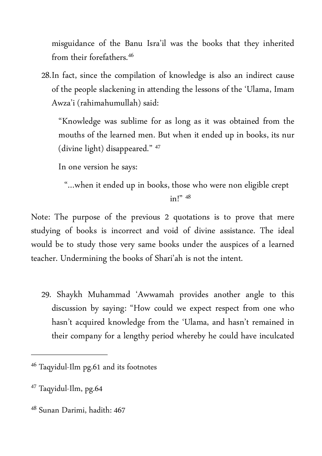misguidance of the Banu Isra'il was the books that they inherited from their forefathers. 46

28.In fact, since the compilation of knowledge is also an indirect cause of the people slackening in atending the lessons of the 'Ulama, Imam Awza'i (rahimahumullah) said:

"Knowledge was sublime for as long as it was obtained from the mouths of the learned men. But when it ended up in books, its nur (divine light) disappeared." 47

In one version he says:

"…when it ended up in books, those who were non eligible crept

 $in!"$  48

Note: The purpose of the previous 2 quotations is to prove that mere studying of books is incorrect and void of divine assistance. The ideal would be to study those very same books under the auspices of a learned teacher. Undermining the books of Shari'ah is not the intent.

29. Shaykh Muhammad 'Awwamah provides another angle to this discussion by saying: "How could we expect respect from one who hasn't acquired knowledge from the 'Ulama, and hasn't remained in their company for a lengthy period whereby he could have inculcated

<sup>48</sup> Sunan Darimi, hadith: 467

<sup>&</sup>lt;sup>46</sup> Taqyidul-Ilm pg.61 and its footnotes

<sup>&</sup>lt;sup>47</sup> Taqyidul-Ilm, pg.64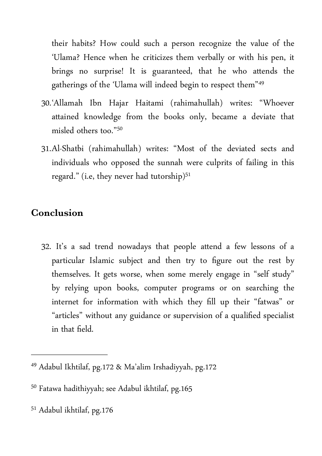their habits? How could such a person recognize the value of the 'Ulama? Hence when he criticizes them verbally or with his pen, it brings no surprise! It is guaranteed, that he who atends the gatherings of the 'Ulama will indeed begin to respect them"<sup>49</sup>

- 30.'Allamah Ibn Hajar Haitami (rahimahullah) writes: "Whoever atained knowledge from the books only, became a deviate that misled others too."50
- 31.Al-Shatbi (rahimahullah) writes: "Most of the deviated sects and individuals who opposed the sunnah were culprits of failing in this regard." (i.e, they never had tutorship) $51$

# **Conclusion**

32. It's a sad trend nowadays that people atend a few lessons of a particular Islamic subject and then try to figure out the rest by themselves. It gets worse, when some merely engage in "self study" by relying upon books, computer programs or on searching the internet for information with which they fill up their "fatwas" or "articles" without any guidance or supervision of a qualified specialist in that field.

<sup>&</sup>lt;sup>49</sup> Adabul Ikhtilaf, pg.172 & Ma'alim Irshadiyyah, pg.172

<sup>&</sup>lt;sup>50</sup> Fatawa hadithiyyah; see Adabul ikhtilaf, pg.165

<sup>&</sup>lt;sup>51</sup> Adabul ikhtilaf, pg.176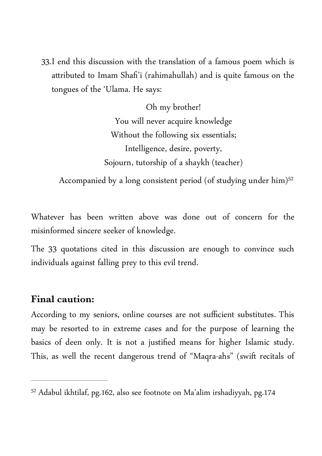33.I end this discussion with the translation of a famous poem which is atributed to Imam Shafi'i (rahimahullah) and is quite famous on the tongues of the 'Ulama. He says:

> Oh my brother! You will never acquire knowledge Without the following six essentials; Intelligence, desire, poverty, Sojourn, tutorship of a shaykh (teacher)

Accompanied by a long consistent period (of studying under him)<sup>52</sup>

Whatever has been writen above was done out of concern for the misinformed sincere seeker of knowledge.

The 33 quotations cited in this discussion are enough to convince such individuals against falling prey to this evil trend.

#### **Final caution:**

According to my seniors, online courses are not sufficient substitutes. This may be resorted to in extreme cases and for the purpose of learning the basics of deen only. It is not a justified means for higher Islamic study. This, as well the recent dangerous trend of "Maqra-ahs" (swift recitals of

 $52$  Adabul ikhtilaf, pg.162, also see footnote on Ma'alim irshadiyyah, pg.174